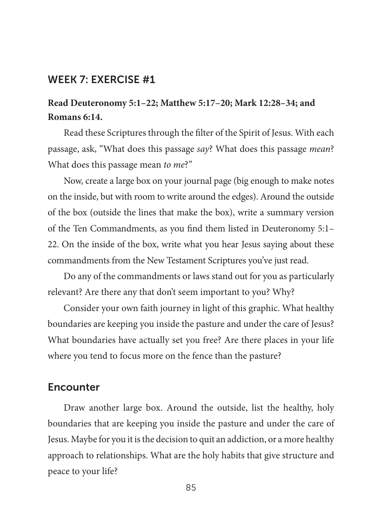# **Read Deuteronomy 5:1–22; Matthew 5:17–20; Mark 12:28–34; and Romans 6:14.**

Read these Scriptures through the filter of the Spirit of Jesus. With each passage, ask, "What does this passage *say*? What does this passage *mean*? What does this passage mean *to me*?"

Now, create a large box on your journal page (big enough to make notes on the inside, but with room to write around the edges). Around the outside of the box (outside the lines that make the box), write a summary version of the Ten Commandments, as you find them listed in Deuteronomy 5:1– 22. On the inside of the box, write what you hear Jesus saying about these commandments from the New Testament Scriptures you've just read.

Do any of the commandments or laws stand out for you as particularly relevant? Are there any that don't seem important to you? Why?

Consider your own faith journey in light of this graphic. What healthy boundaries are keeping you inside the pasture and under the care of Jesus? What boundaries have actually set you free? Are there places in your life where you tend to focus more on the fence than the pasture?

# **Encounter**

Draw another large box. Around the outside, list the healthy, holy boundaries that are keeping you inside the pasture and under the care of Jesus. Maybe for you it isthe decision to quit an addiction, or a more healthy approach to relationships. What are the holy habits that give structure and peace to your life?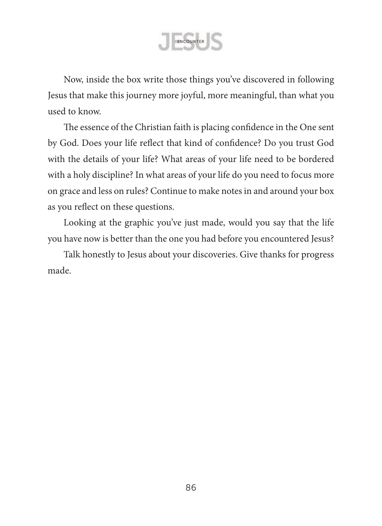

Now, inside the box write those things you've discovered in following Jesus that make this journey more joyful, more meaningful, than what you used to know.

The essence of the Christian faith is placing confidence in the One sent by God. Does your life reflect that kind of confidence? Do you trust God with the details of your life? What areas of your life need to be bordered with a holy discipline? In what areas of your life do you need to focus more on grace and less on rules? Continue to make notesin and around your box as you reflect on these questions.

Looking at the graphic you've just made, would you say that the life you have now is better than the one you had before you encountered Jesus?

Talk honestly to Jesus about your discoveries. Give thanks for progress made.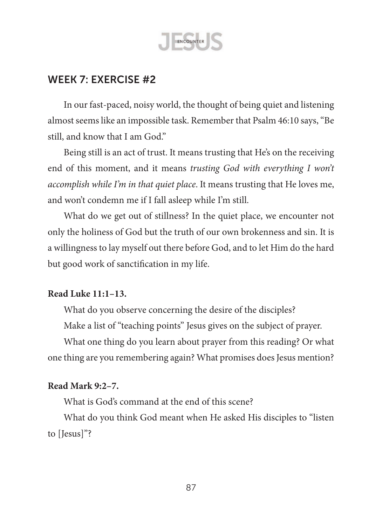

In our fast-paced, noisy world, the thought of being quiet and listening almost seems like an impossible task. Remember that Psalm 46:10 says, "Be still, and know that I am God."

Being still is an act of trust. It means trusting that He's on the receiving end of this moment, and it means *trusting God with everything I won't accomplish while I'm in that quiet place*. It means trusting that He loves me, and won't condemn me if I fall asleep while I'm still.

What do we get out of stillness? In the quiet place, we encounter not only the holiness of God but the truth of our own brokenness and sin. It is a willingness to lay myself out there before God, and to let Him do the hard but good work of sanctification in my life.

### **Read Luke 11:1–13.**

What do you observe concerning the desire of the disciples?

Make a list of "teaching points" Jesus gives on the subject of prayer.

What one thing do you learn about prayer from this reading? Or what one thing are you remembering again? What promises does Jesus mention?

#### **Read Mark 9:2–7.**

What is God's command at the end of this scene?

What do you think God meant when He asked His disciples to "listen to [Jesus]"?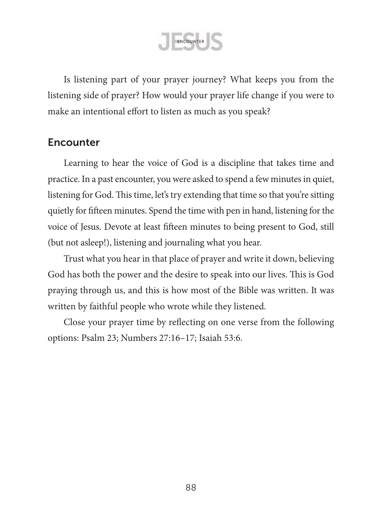ENCOUNTER

Is listening part of your prayer journey? What keeps you from the listening side of prayer? How would your prayer life change if you were to make an intentional effort to listen as much as you speak?

### **Encounter**

Learning to hear the voice of God is a discipline that takes time and practice. In a past encounter, you were asked to spend a few minutes in quiet, listening for God. This time, let's try extending that time so that you're sitting quietly for fifteen minutes. Spend the time with pen in hand, listening for the voice of Jesus. Devote at least fifteen minutes to being present to God, still (but not asleep!), listening and journaling what you hear.

Trust what you hear in that place of prayer and write it down, believing God has both the power and the desire to speak into our lives. This is God praying through us, and this is how most of the Bible was written. It was written by faithful people who wrote while they listened.

Close your prayer time by reflecting on one verse from the following options: Psalm 23; Numbers 27:16–17; Isaiah 53:6.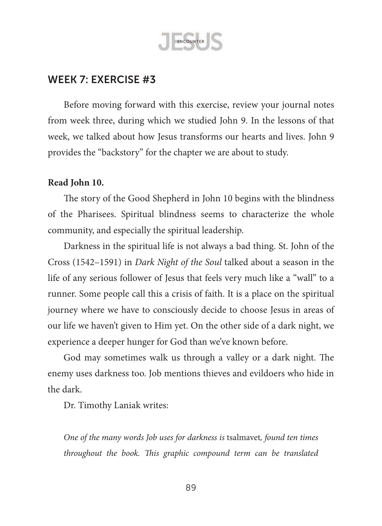

Before moving forward with this exercise, review your journal notes from week three, during which we studied John 9. In the lessons of that week, we talked about how Jesus transforms our hearts and lives. John 9 provides the "backstory" for the chapter we are about to study.

#### **Read John 10.**

The story of the Good Shepherd in John 10 begins with the blindness of the Pharisees. Spiritual blindness seems to characterize the whole community, and especially the spiritual leadership.

Darkness in the spiritual life is not always a bad thing. St. John of the Cross (1542–1591) in *Dark Night of the Soul* talked about a season in the life of any serious follower of Jesus that feels very much like a "wall" to a runner. Some people call this a crisis of faith. It is a place on the spiritual journey where we have to consciously decide to choose Jesus in areas of our life we haven't given to Him yet. On the other side of a dark night, we experience a deeper hunger for God than we've known before.

God may sometimes walk us through a valley or a dark night. The enemy uses darkness too. Job mentions thieves and evildoers who hide in the dark.

Dr. Timothy Laniak writes:

*One of the many words Job uses for darkness is* tsalmavet*, found ten times throughout the book. This graphic compound term can be translated*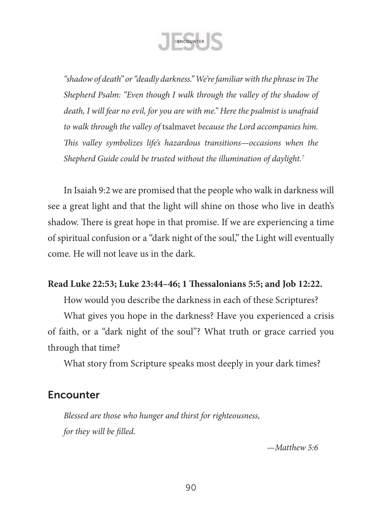

*"shadow of death" or "deadly darkness." We're familiar with the phrase in The Shepherd Psalm: "Even though I walk through the valley of the shadow of death, I will fear no evil, for you are with me." Here the psalmist is unafraid to walk through the valley of* tsalmavet *because the Lord accompanies him. This valley symbolizes life's hazardous transitions—occasions when the Shepherd Guide could be trusted without the illumination of daylight.7*

In Isaiah 9:2 we are promised that the people who walk in darkness will see a great light and that the light will shine on those who live in death's shadow. There is great hope in that promise. If we are experiencing a time of spiritual confusion or a "dark night of the soul," the Light will eventually come. He will not leave us in the dark.

## **Read Luke 22:53; Luke 23:44–46; 1 Thessalonians 5:5; and Job 12:22.**

How would you describe the darkness in each of these Scriptures?

What gives you hope in the darkness? Have you experienced a crisis of faith, or a "dark night of the soul"? What truth or grace carried you through that time?

What story from Scripture speaks most deeply in your dark times?

## **Encounter**

*Blessed are those who hunger and thirst for righteousness, for they will be filled.*

*—Matthew 5:6*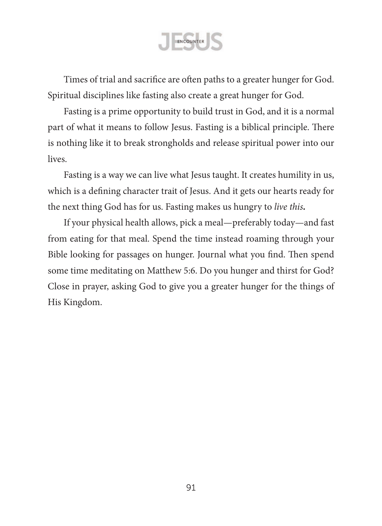ENCOUNTER

Times of trial and sacrifice are often paths to a greater hunger for God. Spiritual disciplines like fasting also create a great hunger for God.

Fasting is a prime opportunity to build trust in God, and it is a normal part of what it means to follow Jesus. Fasting is a biblical principle. There is nothing like it to break strongholds and release spiritual power into our lives.

Fasting is a way we can live what Jesus taught. It creates humility in us, which is a defining character trait of Jesus. And it gets our hearts ready for the next thing God has for us. Fasting makes us hungry to *live this.*

If your physical health allows, pick a meal—preferably today—and fast from eating for that meal. Spend the time instead roaming through your Bible looking for passages on hunger. Journal what you find. Then spend some time meditating on Matthew 5:6. Do you hunger and thirst for God? Close in prayer, asking God to give you a greater hunger for the things of His Kingdom.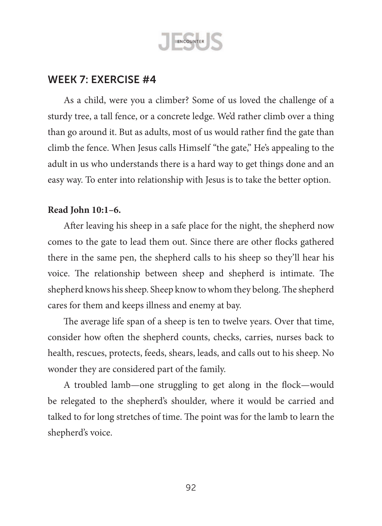

As a child, were you a climber? Some of us loved the challenge of a sturdy tree, a tall fence, or a concrete ledge. We'd rather climb over a thing than go around it. But as adults, most of us would rather find the gate than climb the fence. When Jesus calls Himself "the gate," He's appealing to the adult in us who understands there is a hard way to get things done and an easy way. To enter into relationship with Jesus is to take the better option.

#### **Read John 10:1–6.**

After leaving his sheep in a safe place for the night, the shepherd now comes to the gate to lead them out. Since there are other flocks gathered there in the same pen, the shepherd calls to his sheep so they'll hear his voice. The relationship between sheep and shepherd is intimate. The shepherd knows his sheep. Sheep know to whom they belong. The shepherd cares for them and keeps illness and enemy at bay.

The average life span of a sheep is ten to twelve years. Over that time, consider how often the shepherd counts, checks, carries, nurses back to health, rescues, protects, feeds, shears, leads, and calls out to his sheep. No wonder they are considered part of the family.

A troubled lamb—one struggling to get along in the flock—would be relegated to the shepherd's shoulder, where it would be carried and talked to for long stretches of time. The point was for the lamb to learn the shepherd's voice.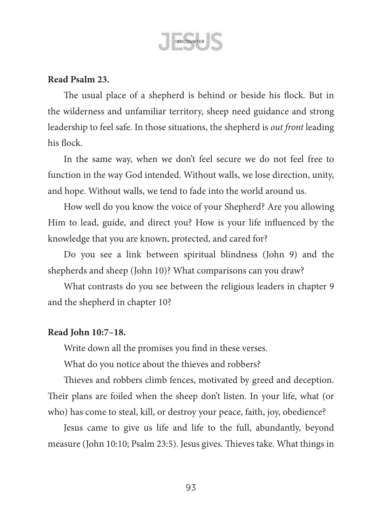

#### **Read Psalm 23.**

The usual place of a shepherd is behind or beside his flock. But in the wilderness and unfamiliar territory, sheep need guidance and strong leadership to feel safe. In those situations, the shepherd is *out front* leading his flock.

In the same way, when we don't feel secure we do not feel free to function in the way God intended. Without walls, we lose direction, unity, and hope. Without walls, we tend to fade into the world around us.

How well do you know the voice of your Shepherd? Are you allowing Him to lead, guide, and direct you? How is your life influenced by the knowledge that you are known, protected, and cared for?

Do you see a link between spiritual blindness (John 9) and the shepherds and sheep (John 10)? What comparisons can you draw?

What contrasts do you see between the religious leaders in chapter 9 and the shepherd in chapter 10?

#### **Read John 10:7–18.**

Write down all the promises you find in these verses.

What do you notice about the thieves and robbers?

Thieves and robbers climb fences, motivated by greed and deception. Their plans are foiled when the sheep don't listen. In your life, what (or who) has come to steal, kill, or destroy your peace, faith, joy, obedience?

Jesus came to give us life and life to the full, abundantly, beyond measure (John 10:10; Psalm 23:5). Jesus gives. Thieves take. What things in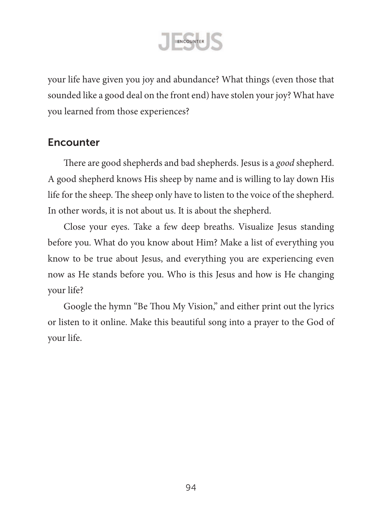

your life have given you joy and abundance? What things (even those that sounded like a good deal on the front end) have stolen your joy? What have you learned from those experiences?

# **Encounter**

There are good shepherds and bad shepherds. Jesus is a *good* shepherd. A good shepherd knows His sheep by name and is willing to lay down His life for the sheep. The sheep only have to listen to the voice of the shepherd. In other words, it is not about us. It is about the shepherd.

Close your eyes. Take a few deep breaths. Visualize Jesus standing before you. What do you know about Him? Make a list of everything you know to be true about Jesus, and everything you are experiencing even now as He stands before you. Who is this Jesus and how is He changing your life?

Google the hymn "Be Thou My Vision," and either print out the lyrics or listen to it online. Make this beautiful song into a prayer to the God of your life.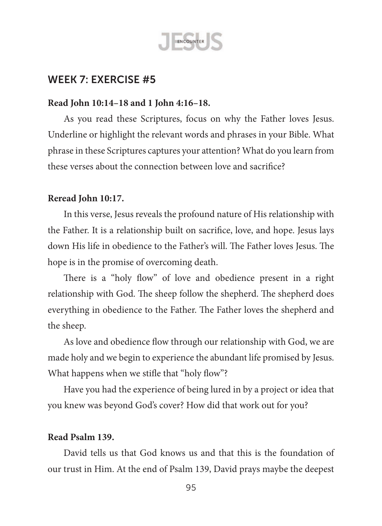

#### **Read John 10:14–18 and 1 John 4:16–18.**

As you read these Scriptures, focus on why the Father loves Jesus. Underline or highlight the relevant words and phrases in your Bible. What phrase in these Scriptures captures your attention? What do you learn from these verses about the connection between love and sacrifice?

#### **Reread John 10:17.**

In this verse, Jesus reveals the profound nature of His relationship with the Father. It is a relationship built on sacrifice, love, and hope. Jesus lays down His life in obedience to the Father's will. The Father loves Jesus. The hope is in the promise of overcoming death.

There is a "holy flow" of love and obedience present in a right relationship with God. The sheep follow the shepherd. The shepherd does everything in obedience to the Father. The Father loves the shepherd and the sheep.

As love and obedience flow through our relationship with God, we are made holy and we begin to experience the abundant life promised by Jesus. What happens when we stifle that "holy flow"?

Have you had the experience of being lured in by a project or idea that you knew was beyond God's cover? How did that work out for you?

#### **Read Psalm 139.**

David tells us that God knows us and that this is the foundation of our trust in Him. At the end of Psalm 139, David prays maybe the deepest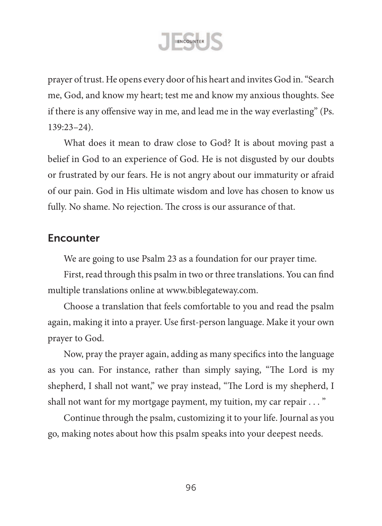

prayer of trust. He opens every door of his heart and invites God in."Search me, God, and know my heart; test me and know my anxious thoughts. See if there is any offensive way in me, and lead me in the way everlasting" (Ps. 139:23–24).

What does it mean to draw close to God? It is about moving past a belief in God to an experience of God. He is not disgusted by our doubts or frustrated by our fears. He is not angry about our immaturity or afraid of our pain. God in His ultimate wisdom and love has chosen to know us fully. No shame. No rejection. The cross is our assurance of that.

## **Encounter**

We are going to use Psalm 23 as a foundation for our prayer time.

First, read through this psalm in two or three translations. You can find multiple translations online at [www.biblegateway.com.](www.biblegateway.com)

Choose a translation that feels comfortable to you and read the psalm again, making it into a prayer. Use first-person language. Make it your own prayer to God.

Now, pray the prayer again, adding as many specifics into the language as you can. For instance, rather than simply saying, "The Lord is my shepherd, I shall not want," we pray instead, "The Lord is my shepherd, I shall not want for my mortgage payment, my tuition, my car repair . . . "

Continue through the psalm, customizing it to your life. Journal as you go, making notes about how this psalm speaks into your deepest needs.